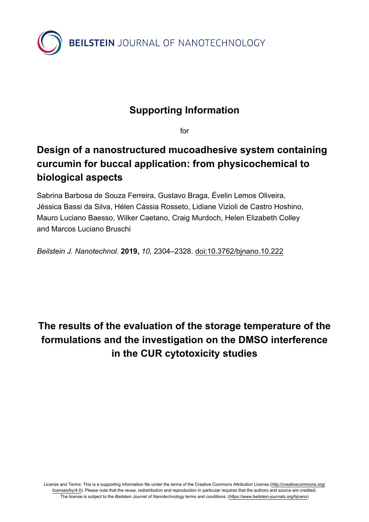

## **Supporting Information**

for

## **Design of a nanostructured mucoadhesive system containing curcumin for buccal application: from physicochemical to biological aspects**

Sabrina Barbosa de Souza Ferreira, Gustavo Braga, Évelin Lemos Oliveira, Jéssica Bassi da Silva, Hélen Cássia Rosseto, Lidiane Vizioli de Castro Hoshino, Mauro Luciano Baesso, Wilker Caetano, Craig Murdoch, Helen Elizabeth Colley and Marcos Luciano Bruschi

*Beilstein J. Nanotechnol.* **2019,** *10,* 2304–2328. [doi:10.3762/bjnano.10.222](https://doi.org/10.3762%2Fbjnano.10.222)

**The results of the evaluation of the storage temperature of the formulations and the investigation on the DMSO interference in the CUR cytotoxicity studies**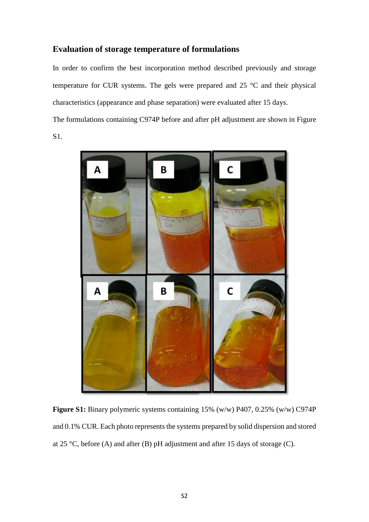### **Evaluation of storage temperature of formulations**

In order to confirm the best incorporation method described previously and storage temperature for CUR systems. The gels were prepared and 25 °C and their physical characteristics (appearance and phase separation) were evaluated after 15 days.

The formulations containing C974P before and after pH adjustment are shown in Figure

S1.



**Figure S1:** Binary polymeric systems containing 15% (w/w) P407, 0.25% (w/w) C974P and 0.1% CUR. Each photo represents the systems prepared by solid dispersion and stored at 25 °C, before (A) and after (B) pH adjustment and after 15 days of storage (C).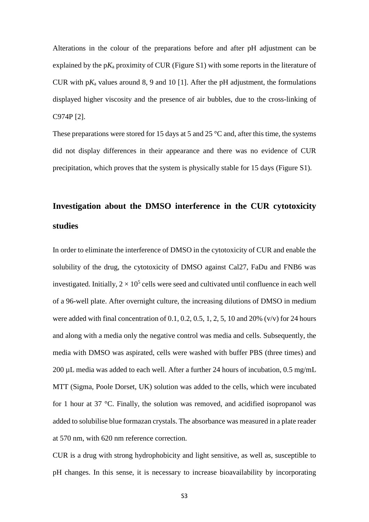Alterations in the colour of the preparations before and after pH adjustment can be explained by the  $pK_a$  proximity of CUR (Figure S1) with some reports in the literature of CUR with  $pK_a$  values around 8, 9 and 10 [1]. After the pH adjustment, the formulations displayed higher viscosity and the presence of air bubbles, due to the cross-linking of C974P [2].

These preparations were stored for 15 days at 5 and 25 °C and, after this time, the systems did not display differences in their appearance and there was no evidence of CUR precipitation, which proves that the system is physically stable for 15 days (Figure S1).

# **Investigation about the DMSO interference in the CUR cytotoxicity studies**

In order to eliminate the interference of DMSO in the cytotoxicity of CUR and enable the solubility of the drug, the cytotoxicity of DMSO against Cal27, FaDu and FNB6 was investigated. Initially,  $2 \times 10^5$  cells were seed and cultivated until confluence in each well of a 96-well plate. After overnight culture, the increasing dilutions of DMSO in medium were added with final concentration of  $0.1, 0.2, 0.5, 1, 2, 5, 10$  and  $20\%$  (v/v) for 24 hours and along with a media only the negative control was media and cells. Subsequently, the media with DMSO was aspirated, cells were washed with buffer PBS (three times) and 200 µL media was added to each well. After a further 24 hours of incubation, 0.5 mg/mL MTT (Sigma, Poole Dorset, UK) solution was added to the cells, which were incubated for 1 hour at 37 °C. Finally, the solution was removed, and acidified isopropanol was added to solubilise blue formazan crystals. The absorbance was measured in a plate reader at 570 nm, with 620 nm reference correction.

CUR is a drug with strong hydrophobicity and light sensitive, as well as, susceptible to pH changes. In this sense, it is necessary to increase bioavailability by incorporating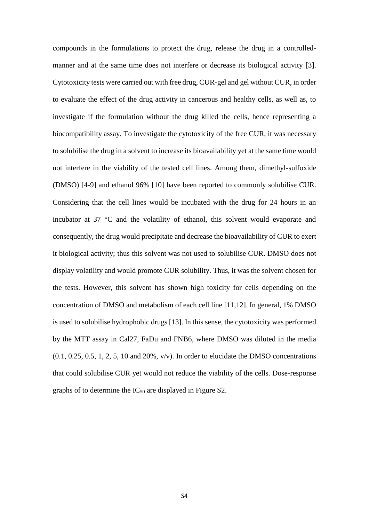compounds in the formulations to protect the drug, release the drug in a controlledmanner and at the same time does not interfere or decrease its biological activity [3]. Cytotoxicity tests were carried out with free drug, CUR-gel and gel without CUR, in order to evaluate the effect of the drug activity in cancerous and healthy cells, as well as, to investigate if the formulation without the drug killed the cells, hence representing a biocompatibility assay. To investigate the cytotoxicity of the free CUR, it was necessary to solubilise the drug in a solvent to increase its bioavailability yet at the same time would not interfere in the viability of the tested cell lines. Among them, dimethyl-sulfoxide (DMSO) [4-9] and ethanol 96% [10] have been reported to commonly solubilise CUR. Considering that the cell lines would be incubated with the drug for 24 hours in an incubator at 37 °C and the volatility of ethanol, this solvent would evaporate and consequently, the drug would precipitate and decrease the bioavailability of CUR to exert it biological activity; thus this solvent was not used to solubilise CUR. DMSO does not display volatility and would promote CUR solubility. Thus, it was the solvent chosen for the tests. However, this solvent has shown high toxicity for cells depending on the concentration of DMSO and metabolism of each cell line [11,12]. In general, 1% DMSO is used to solubilise hydrophobic drugs [13]. In this sense, the cytotoxicity was performed by the MTT assay in Cal27, FaDu and FNB6, where DMSO was diluted in the media  $(0.1, 0.25, 0.5, 1, 2, 5, 10, \text{ and } 20\%$ , v/v). In order to elucidate the DMSO concentrations that could solubilise CUR yet would not reduce the viability of the cells. Dose-response graphs of to determine the  $IC_{50}$  are displayed in Figure S2.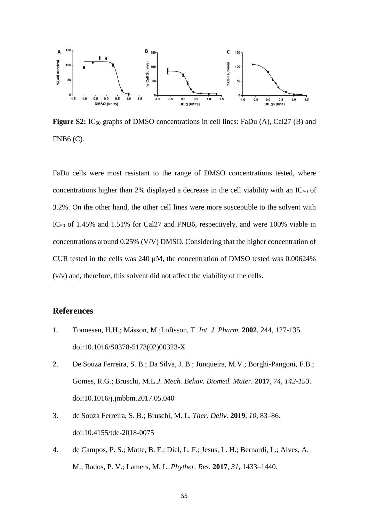

**Figure S2:** IC<sub>50</sub> graphs of DMSO concentrations in cell lines: FaDu (A), Cal27 (B) and FNB6 (C).

FaDu cells were most resistant to the range of DMSO concentrations tested, where concentrations higher than 2% displayed a decrease in the cell viability with an  $IC_{50}$  of 3.2%. On the other hand, the other cell lines were more susceptible to the solvent with IC<sub>50</sub> of 1.45% and 1.51% for Cal27 and FNB6, respectively, and were 100% viable in concentrations around 0.25% (V/V) DMSO. Considering that the higher concentration of CUR tested in the cells was 240 µM, the concentration of DMSO tested was 0.00624% (v/v) and, therefore, this solvent did not affect the viability of the cells.

#### **References**

- 1. Tonnesen, H.H.; Másson, M.;Loftsson, T. *Int. J. Pharm.* **2002**, 244, 127-135. doi[:10.1016/S0378-5173\(02\)00323-X](https://doi.org/10.1016/S0378-5173(02)00323-X)
- 2. De Souza Ferreira, S. B.; Da Silva, J. B.; Junqueira, M.V.; Borghi-Pangoni, F.B.; Gomes, R.G.; Bruschi, M.L.*J. Mech. Behav. Biomed. Mater.* **2017**, *74, 142-153*. doi:10.1016/j.jmbbm.2017.05.040
- 3. de Souza Ferreira, S. B.; Bruschi, M. L. *Ther. Deliv.* **2019**, *10*, 83–86. doi:10.4155/tde-2018-0075
- 4. de Campos, P. S.; Matte, B. F.; Diel, L. F.; Jesus, L. H.; Bernardi, L.; Alves, A. M.; Rados, P. V.; Lamers, M. L. *Phyther. Res.* **2017**, *31*, 1433–1440.